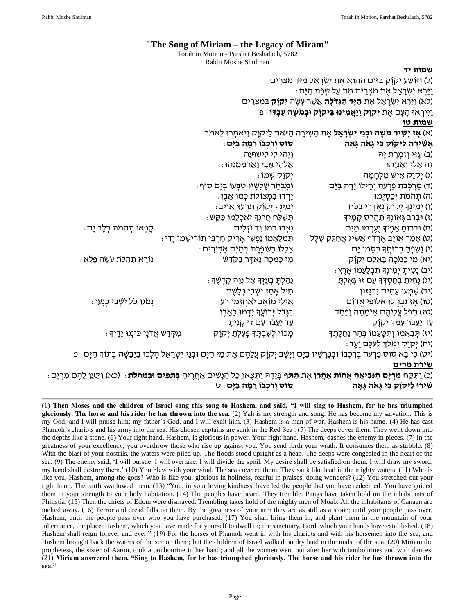# **"The Song of Miriam – the Legacy of Miram"**

Torah in Motion - Parshat Beshalach, 5782 Rabbi Moshe Shulman

#### **שמות יד**

|                                                                                                    |                                                            | ול) וַיּוֹשַׁע יְקוָק בּיּוֹם הַהוּא אֶת יִשְׂרָאֵל מִיַּד מִצְרָיִם                                                                                               |
|----------------------------------------------------------------------------------------------------|------------------------------------------------------------|--------------------------------------------------------------------------------------------------------------------------------------------------------------------|
| <u>ּוִי</u> ּרְא יִשְׂרָאֵל אֶת מִצְרַיִּם מֵת עַל שְׂפַת הַיָּם                                   |                                                            |                                                                                                                                                                    |
| (לא) וַיַּרְא יִשְׂרָאֵל אֶת <del>הַיָּד הַגְּדֹלָה</del> אֲשֶׁר עָשָׂה <b>יְקוָק</b> בְּמִצְרַיִם |                                                            |                                                                                                                                                                    |
|                                                                                                    |                                                            | ַוַיִּירְאוּ הָעָם אֶת <b>יִקוָק וַיַּאֲמִינוּ בַּיקוָק וּבְמִשֶׁה עַבְדּו</b> ּ פ                                                                                 |
|                                                                                                    |                                                            | <u>שמות טו</u>                                                                                                                                                     |
| (א) <b>אַז יָשִׁיר מִשֶּׁה וּבְנֵי יִשְׂרָאֵל</b> אֶת הַשִּׁירָה הַזּאת לַיקוָק וַיּאמְרוּ לֵאמר   |                                                            |                                                                                                                                                                    |
|                                                                                                    | ּסוּס וְרֹכְבוֹ רָמְה בַיָּם ּ                             | אָשִׁירָה לַיקוַק כִּי גָאַה גָּאָה                                                                                                                                |
|                                                                                                    | וַיְהִי לִי לִישׁוּעָה                                     | (ב) עָזִי וְזִמְרָת יָה                                                                                                                                            |
|                                                                                                    | ּאֱלֹהֵי אָבִי וַאֲרֹמְכֶ <i>וּ</i> וְהוּ :                | זֶה אֵלִי וְאַנְוֵהוּ                                                                                                                                              |
|                                                                                                    | יִקוָק שְׁמוֹ :                                            | (ג) יְקוַק אִישׁ מִלְחָמָה                                                                                                                                         |
|                                                                                                    | ּוּמִבְחַר שָׁלִשָּׁיו טֻבְּעוּ בְיַם סוּף .               | (ד) מַרְכְּבֹת פַּרְעֹה וְחֵילוֹ יָרָה בַיָּם                                                                                                                      |
|                                                                                                    | יַרְדוּ בִמְצוֹלֹת כְּמוֹ אָבֶן :                          | (ה) תהמת יְכַסְיִמוּ                                                                                                                                               |
|                                                                                                    | יְמִינְךָ יְקוָק תִּרְעַץ אוֹיֵב .                         | (ו) יְמִינְךָ יְקוָק נֶאְדָרִי בַּכֹּחַ                                                                                                                            |
|                                                                                                    | ּתְּשַׁלַּח חֲרֹנְךָ יאכְלֵמוֹ כַּקַּשׁ ּ                  | (ז) וּבְרֹב גְּאוֹנְךָ תַּהֲרֹס קָמֶיךָ                                                                                                                            |
| קִפְאוּ תְהֹמֹת בְּלֶב יָם :                                                                       | נִצְבוּ כְמוֹ וֵד נֹזְלִים                                 | (ח) וּבְרוּחַ אַפֶּיךָ נֶעֶרְמוּ מַיִּם                                                                                                                            |
|                                                                                                    | ּתִּמְלָאֵמוֹ נַפְשִׁי אָרִיק חַרְבִּי תּוֹרִישֵׁמוֹ יָדִי | (ט) אָמַר אוֹיֵב אֶרְדֹּף אַשִּׂיג אֲחַלֵּק שָׁלָל                                                                                                                 |
|                                                                                                    | : צְלֵלוּ כַּעוֹפֶרֶת בְּמַיִם אַדִּירִים                  | (י) נָשַׁפְתָּ בְרוּחֲךָ כִּסָּמוֹ יָם                                                                                                                             |
| ּנוֹרָא תְהִלֹּת עֹשֵׂה פֶלֶא                                                                      | מִי כָּמֹכָה נֶאְדָר בַּקֹדֶשׁ                             | (יא) מִי כָמֹכָה בָּאֵלִם יְקוָק                                                                                                                                   |
|                                                                                                    |                                                            | ּ (יב) נָטִיתָ יְמִינְךָ תִּבְלָעֵמוֹ אָרֶץ)                                                                                                                       |
|                                                                                                    | ּנִהַלְתָּ בְעָזְדָּ אֶל נְוֵה קָדְשֶׁדָ                   | (יג) נְחִיתָ בְחַסְדְּךָ עַם זוּ גָּאָלְתָּ                                                                                                                        |
|                                                                                                    | ּחִיל אֲחַז יֹשְׁבֵי פְּלָשֶׁת ּ                           | (יד) שָׁמְעוּ עַמִּים יִרְגָּזוּן                                                                                                                                  |
| נְמֹגוּ כֹּל יֹשְׁבֵי כְנָעַן .                                                                    | אֵילֵי מוֹאָב יֹאחֲזֵמוֹ רָעַד                             | (טו) אָז נִבְהֲלוּ אַלּוּפֵי אֱדוֹם                                                                                                                                |
|                                                                                                    | בִּגְדֹל זְרוֹעֲךָ יִדְמוּ כָּאָבֶן                        | (טז) תִּפֹּל עֲלֵיהֶם אֵיכָּותָה וָפַחַד                                                                                                                           |
|                                                                                                    | ּ עַד יַעֲבֹר עַם זוּ קָנְיתָ                              | <u>עַד יַעֲבֹר עַמְּ</u> דָּ יְקוָק                                                                                                                                |
| ּמִקְדָשׁ אֲדֹנָי כּוֹנְנוּ יָדֶיךָ                                                                | מְכוֹן לְשִׁבְתְּךָ פְּעַלְתָּ יְקוָק                      | (יז) תְּבְאֵמוֹ וְתִטָּעֵמוֹ בְּהַר נַחֲלָתְךָ                                                                                                                     |
|                                                                                                    |                                                            | ּיח) יְקוַק יִמְלֹךְ לְעֹלָם וָעֶד)                                                                                                                                |
|                                                                                                    |                                                            | (יט) כִּי בָא סוּס פַּרְעֹה בְּרִכְבּוֹ וּבְפָרָשָׁיו בַּיָּם וַיָּשֶׁב יְקוָק עֲלֵהֶם אֶת מֵי הַיָּם וּבְנֵי יִשְׂרָאֵל הָלְכוּ בַיַּבָּשָׁה בְּתוֹךָּ הַיָּם : פ |

#### **שירת מרים**

(כ) וַתִּקַּח **מִרְיָם הַנְּבִיאָה אֲחות אַהֲרו** אֶת **הַתֹּף** בְּיָדָהּ וַתֵּצֶאן כָל הַנָּשִׁים אַחֲרֶיהָ **בִּתְפִּים וּבִמְחֹלתׁ**: (כא) וַתַּעַן לָהֶם מִרְיָם: **שִ ירּו לַיֹקוָֹּק כִ י גָּאֹה גָּאָּ ה סּוס וְּ רֹכְּ בו רָּ מָּ ה בַ יָּם**: ס

(1) **Then Moses and the children of Israel sang this song to Hashem, and said, "I will sing to Hashem, for he has triumphed gloriously. The horse and his rider he has thrown into the sea.** (2) Yah is my strength and song. He has become my salvation. This is my God, and I will praise him; my father's God, and I will exalt him. (3) Hashem is a man of war. Hashem is his name. (4) He has cast Pharaoh's chariots and his army into the sea. His chosen captains are sunk in the Red Sea . (5) The deeps cover them. They went down into the depths like a stone. (6) Your right hand, Hashem, is glorious in power. Your right hand, Hashem, dashes the enemy in pieces. (7) In the greatness of your excellency, you overthrow those who rise up against you. You send forth your wrath. It consumes them as stubble. (8) With the blast of your nostrils, the waters were piled up. The floods stood upright as a heap. The deeps were congealed in the heart of the sea. (9) The enemy said, 'I will pursue. I will overtake. I will divide the spoil. My desire shall be satisfied on them. I will draw my sword, my hand shall destroy them.' (10) You blew with your wind. The sea covered them. They sank like lead in the mighty waters. (11) Who is like you, Hashem, among the gods? Who is like you, glorious in holiness, fearful in praises, doing wonders? (12) You stretched out your right hand. The earth swallowed them. (13) "You, in your loving kindness, have led the people that you have redeemed. You have guided them in your strength to your holy habitation. (14) The peoples have heard. They tremble. Pangs have taken hold on the inhabitants of Philistia. (15) Then the chiefs of Edom were dismayed. Trembling takes hold of the mighty men of Moab. All the inhabitants of Canaan are melted away. (16) Terror and dread falls on them. By the greatness of your arm they are as still as a stone; until your people pass over, Hashem, until the people pass over who you have purchased. (17) You shall bring them in, and plant them in the mountain of your inheritance, the place, Hashem, which you have made for yourself to dwell in; the sanctuary, Lord, which your hands have established. (18) Hashem shall reign forever and ever." (19) For the horses of Pharaoh went in with his chariots and with his horsemen into the sea, and Hashem brought back the waters of the sea on them; but the children of Israel walked on dry land in the midst of the sea. (20) Miriam the prophetess, the sister of Aaron, took a tambourine in her hand; and all the women went out after her with tambourines and with dances. (21**) Miriam answered them, "Sing to Hashem, for he has triumphed gloriously. The horse and his rider he has thrown into the sea."**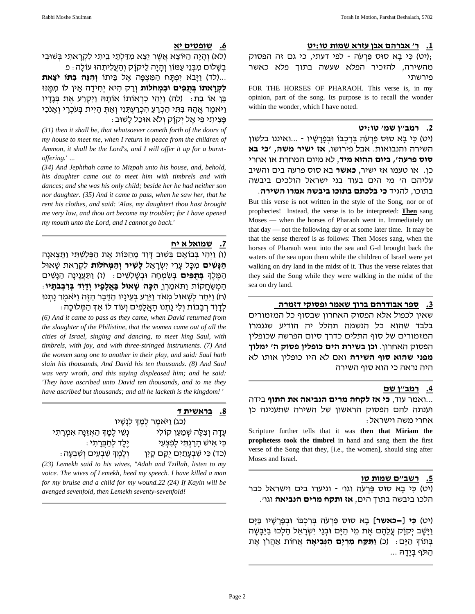### **.1 ר' אברהם אבן עזרא שמות טו:יט**

(יט) כי בא סוּס פּרעׂה - לפי דעתי, כי גם זה הפסוק; מהשירה, להזכיר הפלא שעשה בתוך פלא כאשר פירשתי

FOR THE HORSES OF PHARAOH. This verse is, in my opinion, part of the song. Its purpose is to recall the wonder within the wonder, which I have noted.

## **.2 רמב"ן שמ' טו:יט**

(יט) כִּי בָא סוּס פַּרְעֹה בְּרָכְבּוֹ וּבְפַרֲשָׁיו - ...ואיננו בלשון השירה והנבואות. אבל פירושו, **אז ישיר משה, 'כי בא סוס פרעה', ביום ההוא מיד**, לא מיום המחרת או אחרי כן. או טעמו אז ישיר, **כאשר** בא סוס פרעה בים והשיב עליהם ה' מי הים בעוד בני ישראל הולכים ביבשה

בתוכו, להגיד **כי בלכתם בתוכו ביבשה אמרו השירה**. But this verse is not written in the style of the Song, nor or of prophecies! Instead, the verse is to be interpreted: **Then** sang Moses — when the horses of Pharaoh went in. Immediately on that day — not the following day or at some later time. It may be that the sense thereof is as follows: Then Moses sang, when the horses of Pharaoh went into the sea and G-d brought back the waters of the sea upon them while the children of Israel were yet walking on dry land in the midst of it. Thus the verse relates that they said the Song while they were walking in the midst of the sea on dry land.

### **.3 ספר אבודרהם ברוך שאמר ופסוֹקי דזמרה**

שאין לכפול אלא הפסוֹק האחרון שבסוף כל המזמורים בלבד שהוא כל הנשמה תהלל יה הודיע שנגמרו המזמורים של סוף התלים כדרך סיום הפרשה שכופלין הפסוֹק האחרון. **וכן בשירת הים כופלין פסוֹק ה' ימלוך מפני שהוא סוף השירה** ואם לא היו כופלין אותו לא היה נראה כי הוא סוף השירה

#### **.4 רמב"ן שם**

...ואמר עוד, **כי אז לֹקחה מרים הנביאה את התוף** בידה וענתה להם הפסוֹק הראשון של השירה שתענינה כן אחרי משה וישראל:

Scripture further tells that it was **then that Miriam the prophetess took the timbrel** in hand and sang them the first verse of the Song that they, [i.e., the women], should sing after Moses and Israel.

#### **.5 רשב"ם שמות טו**

(יט) כּי בא סוּס פּרִעֹּה וגו' - וניערו בים וישראל כבר הלכו ביבשה בתוך הים, **אז ותֹקח מרים הנביאה** וגו'.

)יט( **כִ י ]=כאשר[** בָ א סּוס פַרְ עֹּה בְ רִ כְ בֹו ּובְ פָרָ שָ יו בַ ּיָם <u>וַיַּ</u>שֶׁב יִקוַ֫ק עֲלֵהֵם אֶת מֵי הַיַּם וּבְנֵי יִשְׂרָאֵל הַלְכוּ בַיַּבַּשָּׁה בְּתוֹדְ הַיַּם: (כ) **וַתְּקֵח מִרְיַם הַנְּבִיאָה** אֲחוֹת אַהֲרֹן אֶת ּהַתֹּף בְּיָדָהּ ...

### **.6 שופטים יא**

(לא) וְהַיַה הַיּוֹצֵא אֲשֶׁר יֵצֵא מִדַּלְתֵי בֵיתִי לִקְרַאתִי בְּשִׁוּבִי בְשֵׁלֹוֹם מִבְּנֵי עַמּוֹן וְהַיַּה לַיקוַׂק וְהַעֲלִיתִהוּ עוֹלַה : פ

...(לד) <u>וַי</u>ּבֹא יִפְתַּח הַמִּצְפָּה אֱל בֵּיתוֹ **וְהִיֶּה בִתּו יֹצֵאת**. **לִקְרַאתו בִּתְפִּים וּבִמְחֹלות** וְרַק הִיא יְחִידַה אֵין לו מִמֶּנּוּ בֵּו אוֹ בַת: (לה) וַיְהִי כִרְאוֹתוֹ אוֹתַהּ וַיִּקְרַע אֶת בְּגֵדָיו וַיּאמֵר אֲהָהּ בִּתְּי הַכְרֵעַ הִכְרַעְתִּנִי וְאַתְּ הָיִית בְּעֹכְרָי וְאָנֹכִי פָצִ יתִ י פִ י אֶ ל יְֹקֹוָֹק וְ לֹּא אּוכַל לָשּוב:

*(31) then it shall be, that whatsoever cometh forth of the doors of my house to meet me, when I return in peace from the children of Ammon, it shall be the Lord's, and I will offer it up for a burntoffering.' …*

*(34) And Jephthah came to Mizpah unto his house, and, behold, his daughter came out to meet him with timbrels and with dances; and she was his only child; beside her he had neither son nor daughter. (35) And it came to pass, when he saw her, that he rent his clothes, and said: 'Alas, my daughter! thou hast brought me very low, and thou art become my troubler; for I have opened my mouth unto the Lord, and I cannot go back.'*

**.7 שמואל א יח** (ו) וַיְהִי בְּבוֹאֵם בְּשִׁוּב דָּוְד מֵהַכּוֹת אֶת הַפְּלְשְׁתִּי וַתֵּצֶאנַה

**הַנַּשִׁים** מִכַּל עַרֵי יִשְׂרָאֵל **לַשִּׁיר וְהַמְּחֹלוּת** לִקְרַאת שַׁאוּל הַמֶּלֶך**ְ בְּתְפִים** בְּשְׂמְחָה וּבְשֶׁלְשִׁים: (ז) <u>וַתַּעֲ</u>נֶינָה הַנָּשִׁים הַמְשַׂחֲקוֹת וַתּאמַרְן **הִכָּה שָׁאוּל בַּאֲלָפָיו וְדָוִד בִּרְבִבֹתָיו**: (ח) וַיִּחַר לִשָּׁאוּל מִאֹד וַיֵּרַע בְּעֵינָיו הַדָּבָר הַזֶּה וַיּאמֵר נָתִנוּ ּ לְדַוְד רְבָבוֹת וְלִי נַתְנוּ הַאֲלָפִים וְעוֹד לֹו אַךְ הַמְּלוּכָה

*(6) And it came to pass as they came, when David returned from the slaughter of the Philistine, that the women came out of all the cities of Israel, singing and dancing, to meet king Saul, with timbrels, with joy, and with three-stringed instruments. (7) And the women sang one to another in their play, and said: Saul hath slain his thousands, And David his ten thousands. (8) And Saul was very wroth, and this saying displeased him; and he said: 'They have ascribed unto David ten thousands, and to me they have ascribed but thousands; and all he lacketh is the kingdom! '*

# **.8 בראשית ד**

(כג) וַיּאמֶר לֶמֶדְ לְנַשֵּׁיו עַדַה וְצִלֵּה שְׁמַעַן קוֹלִי יווֹ נִשֵׁי לֶמֶדְּ הַאְזֶנַּה אִמְרַתִי ּכִּי אִישׁ הַרַגְתִּי לִפְצָעִי יוֹ יֹיַלֶד לְחַבְּרְתִי : כד) כִּי שְׁבַעֲתַיִם יִקֵּם קַיִן (וְלֶמֶדְ שִׁבְעִים וְשָׁבְעַה)

*(23) Lemekh said to his wives, "Adah and Tzillah, listen to my voice. The wives of Lemekh, heed my speech. I have killed a man for my bruise and a child for my wound.22 (24) If Kayin will be avenged sevenfold, then Lemekh seventy-sevenfold!*